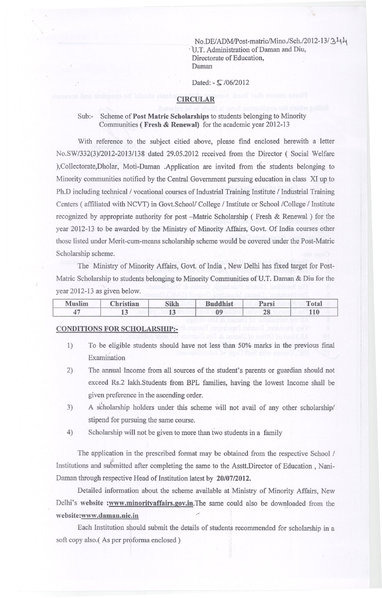No.DE/ADM/Post-matric/Mino./Sch./2012-13/344  $\cdot$  U.T. Administration of Daman and Diu, Directorate of Education, Daman

Dated:  $-S/06/2012$ 

## CIRCULAR

# Sub:- Scheme of Post Matric Scholarships to students belonging to Minority Communities ( Fresh & Renewal) for the academic year 2012-13

With reference to the subject citied above, please find enclosed herewith a letter No.SW/332(3)/2012-2013/138 dated 29.05.2012 received from the Director ( Social Welfare ),Collectorate,Dholar, Moti-Daman .Application are invited from the students belonging to Minority communities notified by the Central Government pursuing education in class XI up to Ph.D including technical / vocational courses of Industrial Training Institute / Industrial Training Centers ( affiliated with NCVT) in Govt.School/ College / Institute or School /College / Institute recognized by appropriate authority for post -Matric Scholarship ( Fresh & Renewal ) for the year 2012-13 to be awarded by the Ministry of Minority Affairs, Govt. Of India courses other those listed under Merit-cum-means scholarship scheme would be covered under the Post-Matric Scholarship scheme.

The Ministry of Minority Affairs, Govt. of India, New Delhi has fixed target for Post-Matric Scholarship to students belonging to Minority Communities of U.T. Daman & Diu for the  $\frac{1}{2}$ year 2012-13 as given below.

| <b>Muslim</b>  | <b>Christian</b> | Sikh | <b>Buddhist</b> | Parsi | Total |
|----------------|------------------|------|-----------------|-------|-------|
| 4 <sub>m</sub> |                  | 2J   |                 | 28    | 110   |

## CONDITIONS FOR SCHOLARSHIP:-

- 1) To be eligible students should have not less than 50% marks in the previous final Examination
- 2) The annual Income from all sources of the student's parents or guardian should not exceed Rs.2 lakh.Students from BPL families, having the lowest Income shall be given preference in the ascending order.
- 3) i A scholarship holders under this scheme will not avail of any other scholarshipl stipend for pursuing the same course.
- 4) Scholarship will not be given to more than two students in a family

The application in the prescribed format may be obtained from the respective School / Institutions and submitted after completing the same to the Asstt.Director of Education, Nani-Daman through respective Head of Institution latest by 20/07/2012.

Detailed information about the scheme available at Ministry of Minority Affairs, New Delhi's website :www.minorityaffairs.gov.in.The same could also be downloaded from the website:www.daman.nic.in

Each Institution should submit the details of students recommended for scholarship in a soft copy also.(As per proforma enclosed)